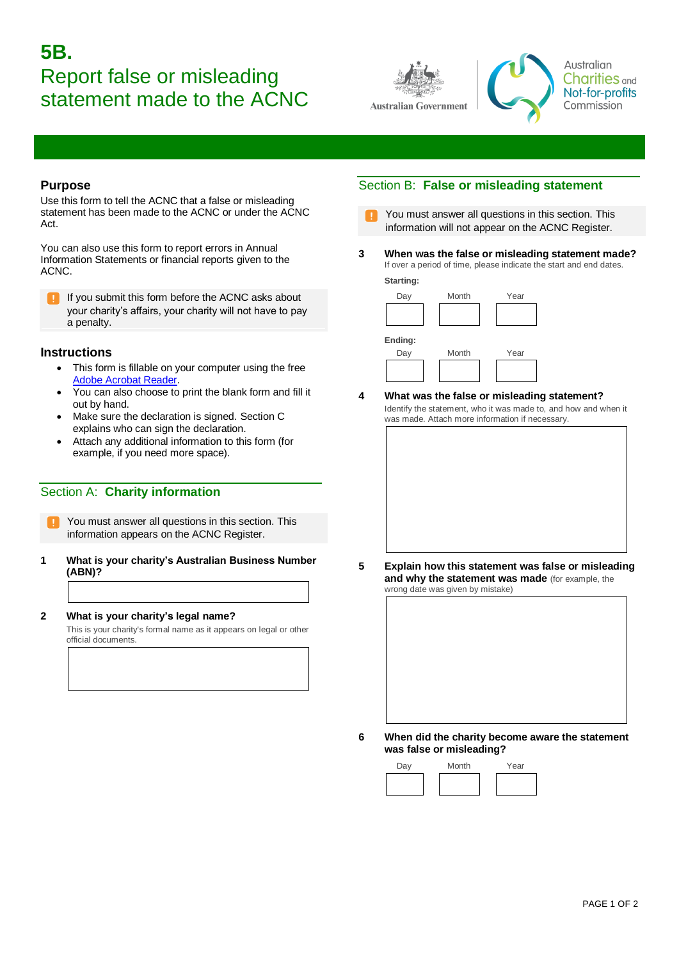# **5B.**  Report false or misleading statement made to the ACNC





Australian **Charities** and Not-for-profits Commission

#### **Purpose**

Use this form to tell the ACNC that a false or misleading statement has been made to the ACNC or under the ACNC Act.

You can also use this form to report errors in Annual Information Statements or financial reports given to the ACNC.

If you submit this form before the ACNC asks about your charity's affairs, your charity will not have to pay a penalty.

## **Instructions**

- This form is fillable on your computer using the free [Adobe Acrobat Reader.](http://www.adobe.com/au/products/reader.html)
- You can also choose to print the blank form and fill it out by hand.
- Make sure the declaration is signed. Section C explains who can sign the declaration.
- Attach any additional information to this form (for example, if you need more space).

# Section A: **Charity information**

- You must answer all questions in this section. This information appears on the ACNC Register.
- **1 What is your charity's Australian Business Number (ABN)?**

# **2 What is your charity's legal name?**

This is your charity's formal name as it appears on legal or other official documents.

# Section B: **False or misleading statement**

- You must answer all questions in this section. This information will not appear on the ACNC Register.
- **3 When was the false or misleading statement made?**  If over a period of time, please indicate the start and end dates.

**Starting:** 



**4 What was the false or misleading statement?**  Identify the statement, who it was made to, and how and when it was made. Attach more information if necessary.



**5 Explain how this statement was false or misleading and why the statement was made** (for example, the wrong date was given by mistake)



- 
- **6 When did the charity become aware the statement was false or misleading?**